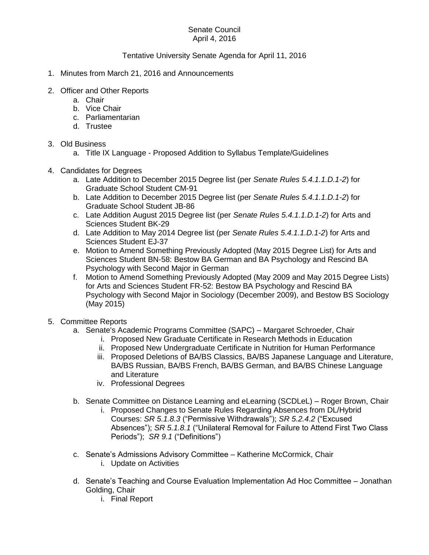## Senate Council April 4, 2016

## Tentative University Senate Agenda for April 11, 2016

- 1. Minutes from March 21, 2016 and Announcements
- 2. Officer and Other Reports
	- a. Chair
	- b. Vice Chair
	- c. Parliamentarian
	- d. Trustee

## 3. Old Business

- a. Title IX Language Proposed Addition to Syllabus Template/Guidelines
- 4. Candidates for Degrees
	- a. Late Addition to December 2015 Degree list (per *Senate Rules 5.4.1.1.D.1-2*) for Graduate School Student CM-91
	- b. Late Addition to December 2015 Degree list (per *Senate Rules 5.4.1.1.D.1-2*) for Graduate School Student JB-86
	- c. Late Addition August 2015 Degree list (per *Senate Rules 5.4.1.1.D.1-2*) for Arts and Sciences Student BK-29
	- d. Late Addition to May 2014 Degree list (per *Senate Rules 5.4.1.1.D.1-2*) for Arts and Sciences Student EJ-37
	- e. Motion to Amend Something Previously Adopted (May 2015 Degree List) for Arts and Sciences Student BN-58: Bestow BA German and BA Psychology and Rescind BA Psychology with Second Major in German
	- f. Motion to Amend Something Previously Adopted (May 2009 and May 2015 Degree Lists) for Arts and Sciences Student FR-52: Bestow BA Psychology and Rescind BA Psychology with Second Major in Sociology (December 2009), and Bestow BS Sociology (May 2015)
- 5. Committee Reports
	- a. Senate's Academic Programs Committee (SAPC) Margaret Schroeder, Chair
		- i. Proposed New Graduate Certificate in Research Methods in Education
		- ii. Proposed New Undergraduate Certificate in Nutrition for Human Performance
		- iii. Proposed Deletions of BA/BS Classics, BA/BS Japanese Language and Literature, BA/BS Russian, BA/BS French, BA/BS German, and BA/BS Chinese Language and Literature
		- iv. Professional Degrees
	- b. Senate Committee on Distance Learning and eLearning (SCDLeL) Roger Brown, Chair
		- i. Proposed Changes to Senate Rules Regarding Absences from DL/Hybrid Courses: *SR 5.1.8.3* ("Permissive Withdrawals"); *SR 5.2.4.2* ("Excused Absences"); *SR 5.1.8.1* ("Unilateral Removal for Failure to Attend First Two Class Periods"); *SR 9.1* ("Definitions")
	- c. Senate's Admissions Advisory Committee Katherine McCormick, Chair
		- i. Update on Activities
	- d. Senate's Teaching and Course Evaluation Implementation Ad Hoc Committee Jonathan Golding, Chair
		- i. Final Report